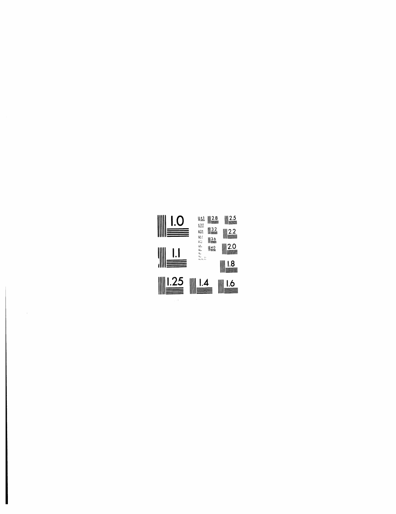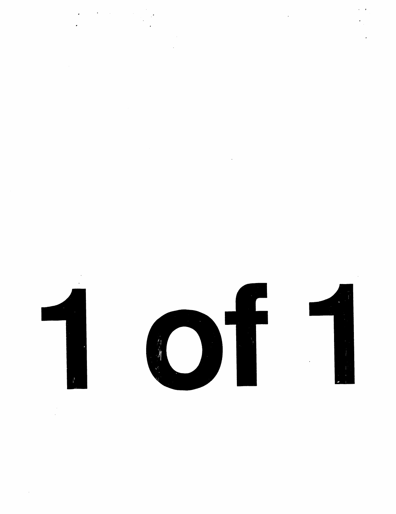$\sim 10^{-1}$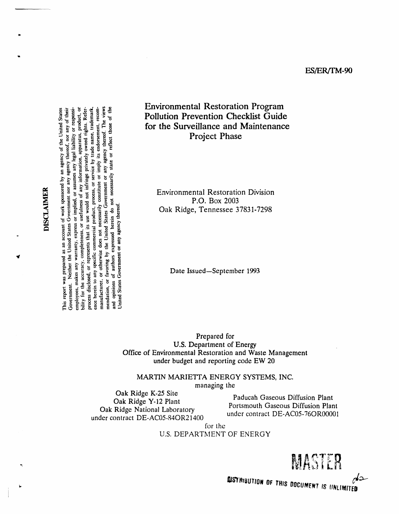**DISCLAIMER** 

product, or mendation, or favoring by the United States Government or any agency thereof. The views This report was prepared as an account of work sponsored by an agency of the United States Government. Neither the United States Government nor any agency thereof, nor any of their employees, makes any warranty, express or implied, or assumes any legal liability or responsiprocess disclosed, or represents that its use would not infringe privately owned rights. Reference herein to any specific commercial product, process, or service by trade name, trademark, manufacturer, or otherwise does not necessarily constitute or imply its endorsement, recomreflect those of the bility for the accuracy, completeness, or usefulness of any information, apparatus,  $\overline{5}$ necessarily state and opinions of authors expressed herein do not United States Government or any agency thereof **Environmental Restoration Program** Pollution Prevention Checklist Guide for the Surveillance and Maintenance **Project Phase** 

**Environmental Restoration Division** P.O. Box 2003 Oak Ridge, Tennessee 37831-7298

Date Issued-September 1993

Prepared for U.S. Department of Energy Office of Environmental Restoration and Waste Management under budget and reporting code EW 20

MARTIN MARIETTA ENERGY SYSTEMS, INC. managing the

Oak Ridge K-25 Site Oak Ridge Y-12 Plant Oak Ridge National Laboratory under contract DE-AC05-84OR21400

Paducah Gaseous Diffusion Plant Portsmouth Gaseous Diffusion Plant under contract DE-AC05-76OR00001

for the U.S. DEPARTMENT OF ENERGY

MASTER

 $\overline{d}$ **QISTRIBUTION OF THIS DOCUMENT IS UNLIMITED**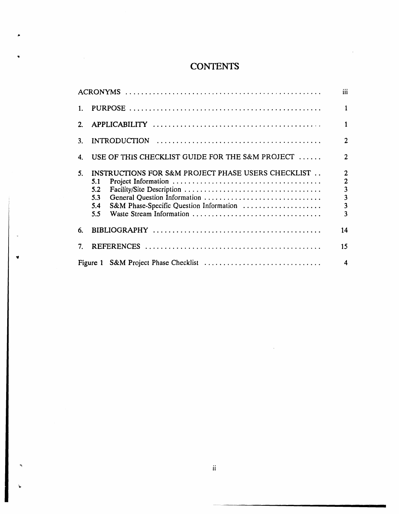# CONTENT**S**

|                |                                                                                       | iii                                                                                                       |
|----------------|---------------------------------------------------------------------------------------|-----------------------------------------------------------------------------------------------------------|
|                |                                                                                       |                                                                                                           |
| $2^{\circ}$    |                                                                                       | $\mathbf{1}$                                                                                              |
| 3.             |                                                                                       | $\overline{2}$                                                                                            |
| $\mathbf{4}$   | USE OF THIS CHECKLIST GUIDE FOR THE S&M PROJECT                                       | $\overline{2}$                                                                                            |
| 5 <sub>1</sub> | INSTRUCTIONS FOR S&M PROJECT PHASE USERS CHECKLIST<br>5.1<br>5.2<br>5.3<br>5.4<br>5.5 | $\overline{2}$<br>$\overline{2}$<br>$\overline{\mathbf{3}}$<br>$\begin{array}{c} 3 \\ 3 \\ 3 \end{array}$ |
| 6.             |                                                                                       | 14                                                                                                        |
| 7.             |                                                                                       | 15                                                                                                        |
|                |                                                                                       | 4                                                                                                         |

'll

 $\blacksquare$ 

وأكالهوالاتنان أتالنها الأتالات فالتلائم لتناس والتكلم التصدير الانتخاب المستهز المجمعة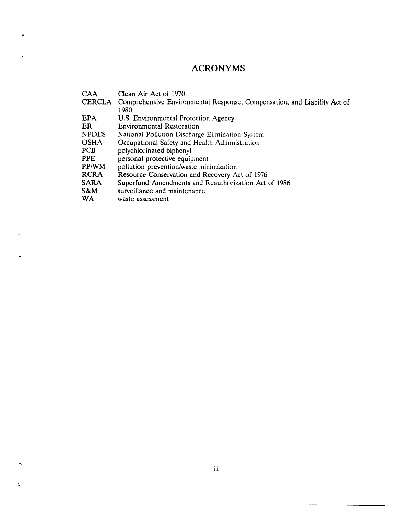# ACRONYMS

i

 $\ddot{\phantom{a}}$ 

 $\blacksquare$ 

 $\ddot{\phantom{1}}$ 

 $\bar{\mathbf{r}}$ 

 $\bullet$ 

| Clean Air Act of 1970                                                    |
|--------------------------------------------------------------------------|
| Comprehensive Environmental Response, Compensation, and Liability Act of |
| 1980                                                                     |
| U.S. Environmental Protection Agency                                     |
| <b>Environmental Restoration</b>                                         |
| National Pollution Discharge Elimination System                          |
| Occupational Safety and Health Administration                            |
| polychlorinated biphenyl                                                 |
| personal protective equipment                                            |
| pollution prevention/waste minimization                                  |
| Resource Conservation and Recovery Act of 1976                           |
| Superfund Amendments and Reauthorization Act of 1986                     |
| surveillance and maintenance                                             |
| waste assessment                                                         |
|                                                                          |

 $\sim$   $\epsilon$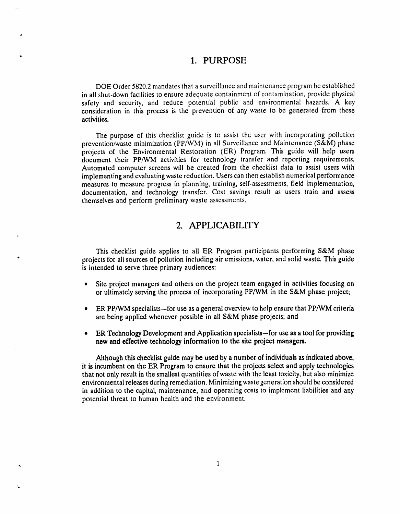# **1**. PURPOSE

Ii

DOE Order 5820.2 mandates that a surveillance and maintenance program be established in all shut-down facilities to ensure adequate containment of contamination, provide physical safety and security, and reduce potential public and environmental hazards. *A* key consideration in this process is the prevention of any waste to be generated from these activitie*s*.

The purpose of this checklist guide is to assist the uscr with incorporating pollution prevention*/*waste minimization (PP*/*WM) in all Surveillance and Maintenance (S&M) phase projects of the Environmental Restoration (ER) Program. This guide will help u*s*er*s* document their PP*/*WM activities for technology transfer and reporting requirement*s*. *A*utomated computer screens will be created from the checklist data to assist u*s*er*s* with implementing and evaluating waste reduction. Users can then establish numerical performance measures to measure progress in planning, training, self-assessments, field implementation, documentation, and technology transfer. Cost savings result as users train and assess themselves and perform preliminary waste assessments.

# 2. APPLIC*A*BILITY

This checklist guide applies to all ER Program participants performing S&M phase projects for all sources of pollution including air emissions, water, and solid waste. This guide is intended to serve three primary audiences:

- Site project managers and others on the project team engaged in activities focusing on or ultimately serving the process of incorporating PP*/*WM in the S&M phase project;
- **•** ER PP*/*WM specialists**--**for use as a general overview to help ensure that PP*/*WM criteria are being applied whenever possible in all S&M phase projects; and
- **E**R Technology **D**evelopment and **A**pplication *s*peciali*s*t*s***--**for use a*s* a tool for providing new and effective technology information to the site project manage*rs*.

*A*lthough this checklist guide may be used by a number of individuals as indicated above, it is incumbent on the ER Program to ensure that the project*s* select and apply technologies that not only result in the smallest quantities of waste with the least toxicity, but also minimize environmental releases during remediation. Minimizing waste generation should be considered in addition to the capital, maintenance, and operating costs to implement liabilities and any potential threat to human health and the environment.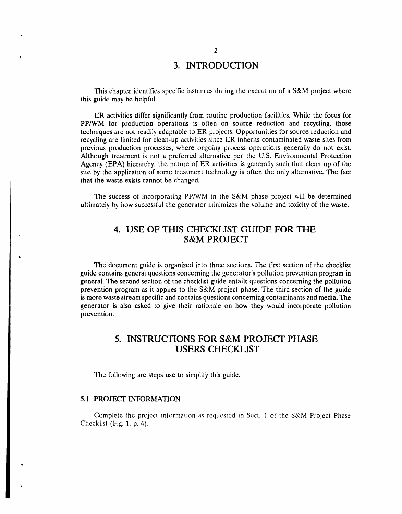### 3. INTRO**D**U*C*I*'*ION

This chapter identifies spccific inst**a**nces dur**i**ng the ex**e**cution of a S&M project wher**e** this guide may be helpful.

ER activities differ signi**fi**cantly from routine production facilities. While **t**he focus for PP*/*WM for production operations is often on source reduction and recycling, those technique*s* are not readily adaptable to ER projects. Opportunities for source reduction and recycling are limited for clean-up activities since ER inherits contaminated waste sites from previous production processes, where ongoing proces*s* **o**perations generally do not exist. Although treatment is not a preferred alternative per the U.S. Environmental Protection Agency (EPA) hierarchy, the nature of ER activities is generally such that clean up of the site by the application of some treatment technology is often the only alternative. The fact that the waste exists cannot be changed.

The success of incorporating PP*/*WM in the S&M phase project will be determined ultimately by how successful the generator minimizes the volume and toxicity of the waste.

# 4. USE OF THIS CHECKLIST GUIDE FOR THE S&M PROJECT

The document guide is organized into three sections. The first section of the checklist guide contains general questions concerning the generator's pollution prevention program in general. The second section of the checklist guide entails questions concerning the pollution prevention program as it applies to the S&M project phase. The third section of the guide is more w*a*ste stream specific and contains questions concerning contaminants and media. The generator is also asked to give their rationale on how they would incorporate pollution prevention.

# 5. INSTRUCTIONS FOR S&M **P**ROJE**C**T **P**H*A*SE USERS CHECKLIST

The following are steps use to simplify this guide.

#### 5.1 PROJE*CT* INFO**R**MATION

Complete the project information as requested in Sect. 1 of the S&M Project Phase Checklist (Fig. 1, p. 4).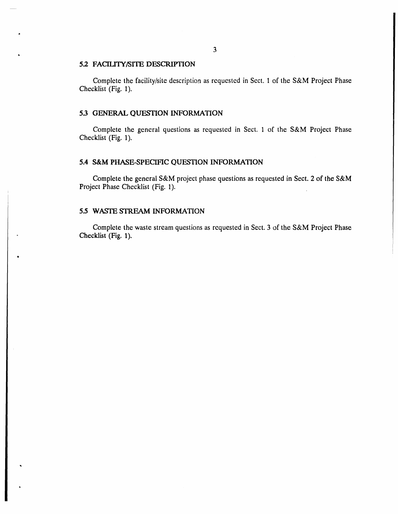#### 5.2 FACILITY*/*SITE DESCRIFHON

Complete **t**he facility*/*site description as requested in Sec**t**. 1 of the S&M Project Phase Checklist (Fig. 1).

#### 5.3 GENERAL QU*ES*TION INFORMATION

Complete the general questions as requested in Sect. 1 of the S&M Project Phase Checklist (Fig. 1).

#### 5.4 S&M PIIASE**-**SPECIFIC QU*ES*TION INFORMATION

Complete the general S&M project phase questions as requested in Sect. 2 of the S&M Project Phase Checklist (Fig. 1).

#### 5.5 WASTE STREAM INFORMATION

Complete the waste stream questions as requested in Sect. 3 of the S&M Project Phase Checklist (Fig. 1).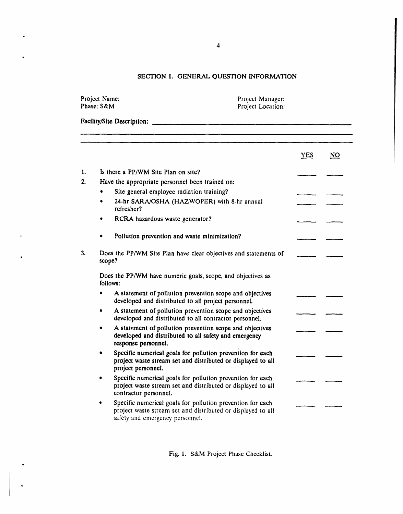#### SECTION 1. GENERAL QUESTION INFORMATION

| Project Name: |  |
|---------------|--|
| Phase: S&M    |  |

Project Manager: Project Location:

YES  $NO$  $1.$ Is there a PP/WM Site Plan on site?  $2.$ Have the appropriate personnel been trained on: Site general employee radiation training?  $\bullet$ 24-hr SARA/OSHA (HAZWOPER) with 8-hr annual  $\bullet$ refresher? RCRA hazardous waste generator? Pollution prevention and waste minimization?  $\bullet$  $3.$ Does the PP/WM Site Plan have clear objectives and statements of scope? Does the PP/WM have numeric goals, scope, and objectives as follows:  $\bullet$ A statement of pollution prevention scope and objectives developed and distributed to all project personnel. A statement of pollution prevention scope and objectives developed and distributed to all contractor personnel. A statement of pollution prevention scope and objectives developed and distributed to all safety and emergency response personnel. Specific numerical goals for pollution prevention for each  $\bullet$ project waste stream set and distributed or displayed to all project personnel. Specific numerical goals for pollution prevention for each  $\bullet$ project waste stream set and distributed or displayed to all contractor personnel. Specific numerical goals for pollution prevention for each  $\bullet$ project waste stream set and distributed or displayed to all safety and emergency personnel.

Fig. 1. S&M Project Phase Checklist.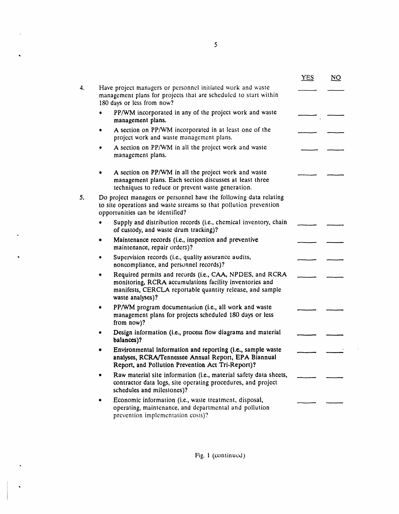|           |                                                                                                                                                                                                      | YES | $\overline{NQ}$ |
|-----------|------------------------------------------------------------------------------------------------------------------------------------------------------------------------------------------------------|-----|-----------------|
| 4.        | Have project managers or personnel initiated work and waste<br>management plans for projects that are scheduled to start within<br>180 days or less from now?                                        |     |                 |
| $\bullet$ | PP/WM incorporated in any of the project work and waste<br>management plans.                                                                                                                         |     |                 |
| $\bullet$ | A section on PP/WM incorporated in at least one of the<br>project work and waste management plans.                                                                                                   |     |                 |
| ٠         | A section on PP/WM in all the project work and waste<br>management plans.                                                                                                                            |     |                 |
| ٠         | A section on PP/WM in all the project work and waste<br>management plans. Each section discusses at least three<br>techniques to reduce or prevent waste generation.                                 |     |                 |
| 5.        | Do project managers or personnel have the following data relating<br>to site operations and waste streams so that pollution prevention<br>opportunities can be identified?                           |     |                 |
|           | Supply and distribution records (i.e., chemical inventory, chain<br>of custody, and waste drum tracking)?                                                                                            |     |                 |
| ۰         | Maintenance records (i.e., inspection and preventive<br>maintenance, repair orders)?                                                                                                                 |     |                 |
| ٠         | Supervision records (i.e., quality assurance audits,<br>noncompliance, and personnel records)?                                                                                                       |     |                 |
| $\bullet$ | Required permits and records (i.e., CAA, NPDES, and RCRA<br>monitoring, RCRA accumulations facility inventories and<br>manifests, CERCLA reportable quantity release, and sample<br>waste analyses)? |     |                 |
|           | PP/WM program documentation (i.e., all work and waste<br>management plans for projects scheduled 180 days or less<br>from now)?                                                                      |     |                 |
|           | Design information (i.e., process flow diagrams and material<br>balances)?                                                                                                                           |     |                 |
|           | Environmental information and reporting (i.e., sample waste<br>analyses, RCRA/Tennessee Annual Report, EPA Biannual<br>Report, and Pollution Prevention Act Tri-Report)?                             |     |                 |
|           | Raw material site information (i.e., material safety data sheets,<br>contractor data logs, site operating procedures, and project<br>schedules and milestones)?                                      |     |                 |
|           | Economic information (i.e., waste treatment, disposal,<br>operating, maintenance, and departmental and pollution<br>prevention implementation costs)?                                                |     |                 |

5

 $\bar{\theta}$ 

 $\bullet$ 

 $\ddot{\phantom{0}}$ 

 $\ddot{\phantom{1}}$ 

 $\bar{z}$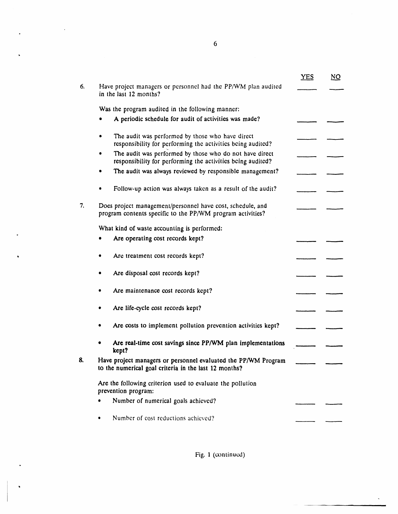|    |                                                                                                                              | YES | <u>NO</u> |
|----|------------------------------------------------------------------------------------------------------------------------------|-----|-----------|
| 6. | Have project managers or personnel had the PP/WM plan audited<br>in the last 12 months?                                      |     |           |
|    | Was the program audited in the following manner:                                                                             |     |           |
|    | A periodic schedule for audit of activities was made?                                                                        |     |           |
|    | The audit was performed by those who have direct<br>$\bullet$<br>responsibility for performing the activities being audited? |     |           |
|    | The audit was performed by those who do not have direct<br>۰<br>responsibility for performing the activities being audited?  |     |           |
|    | The audit was always reviewed by responsible management?<br>٠                                                                |     |           |
|    | Follow-up action was always taken as a result of the audit?<br>۰                                                             |     |           |
| 7. | Does project management/personnel have cost, schedule, and<br>program contents specific to the PP/WM program activities?     |     |           |
|    | What kind of waste accounting is performed:                                                                                  |     |           |
|    | Are operating cost records kept?                                                                                             |     |           |
|    | Are treatment cost records kept?<br>٠                                                                                        |     |           |
|    | Are disposal cost records kept?<br>٠                                                                                         |     |           |
|    | Are maintenance cost records kept?<br>$\bullet$                                                                              |     |           |
|    | Are life-cycle cost records kept?                                                                                            |     |           |
|    | Are costs to implement pollution prevention activities kept?                                                                 |     |           |
|    | Are real-time cost savings since PP/WM plan implementations<br>kept?                                                         |     |           |
| 8. | Have project managers or personnel evaluated the PP/WM Program<br>to the numerical goal criteria in the last 12 months?      |     |           |
|    | Are the following criterion used to evaluate the pollution<br>prevention program:                                            |     |           |
|    | Number of numerical goals achieved?                                                                                          |     |           |
|    | Number of cost reductions achieved?                                                                                          |     |           |

Fig. 1 (continued)

 $\cdot$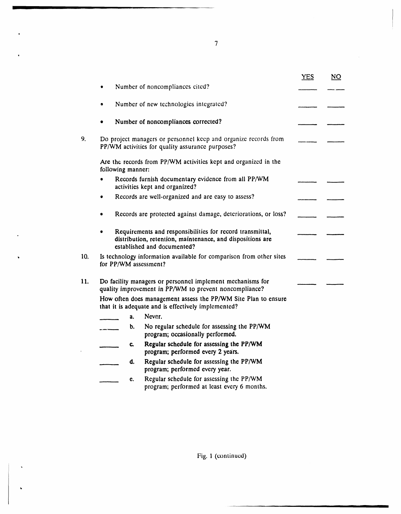|     |                                                                                                                                                        | <b>YES</b> | $\overline{NO}$ |
|-----|--------------------------------------------------------------------------------------------------------------------------------------------------------|------------|-----------------|
|     | Number of noncompliances cited?                                                                                                                        |            |                 |
|     | Number of new technologies integrated?<br>$\bullet$                                                                                                    |            |                 |
|     | Number of noncompliances corrected?<br>٠                                                                                                               |            |                 |
| 9.  | Do project managers or personnel keep and organize records from<br>PP/WM activities for quality assurance purposes?                                    |            |                 |
|     | Are the records from PP/WM activities kept and organized in the<br>following manner:                                                                   |            |                 |
|     | Records furnish documentary evidence from all PP/WM<br>activities kept and organized?                                                                  |            |                 |
|     | Records are well-organized and are easy to assess?                                                                                                     |            |                 |
|     | Records are protected against damage, deteriorations, or loss?                                                                                         |            |                 |
|     | Requirements and responsibilities for record transmittal,<br>distribution, retention, maintenance, and dispositions are<br>established and documented? |            |                 |
| 10. | Is technology information available for comparison from other sites<br>for PP/WM assessment?                                                           |            |                 |
| 11. | Do facility managers or personnel implement mechanisms for<br>quality improvement in PP/WM to prevent noncompliance?                                   |            |                 |
|     | How often does management assess the PP/WM Site Plan to ensure<br>that it is adequate and is effectively implemented?                                  |            |                 |
|     | Never.<br>$a_{\cdot}$                                                                                                                                  |            |                 |
|     | No regular schedule for assessing the PP/WM<br>b.<br>program; occasionally performed.                                                                  |            |                 |
|     | Regular schedule for assessing the PP/WM<br>C.<br>program; performed every 2 years.                                                                    |            |                 |
|     | Regular schedule for assessing the PP/WM<br>d.<br>program; performed every year.                                                                       |            |                 |
|     | Regular schedule for assessing the PP/WM<br>e.<br>program; performed at least every 6 months.                                                          |            |                 |

 $\overline{1}$ 

Fig. 1 (continued)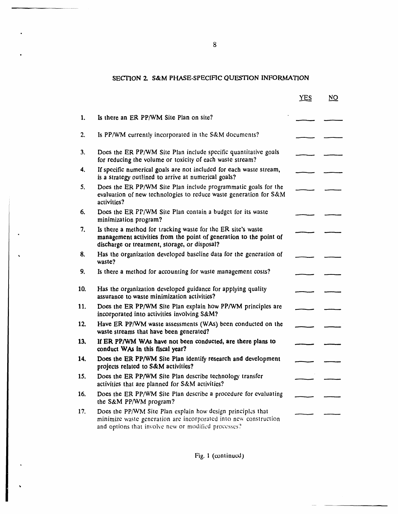# SECTION 2. S&M PHASE-SPECIFIC QUESTION INFORMATION

|     |                                                                                                                                                                                        | <b>YES</b> | <b>NO</b> |
|-----|----------------------------------------------------------------------------------------------------------------------------------------------------------------------------------------|------------|-----------|
| 1.  | Is there an ER PP/WM Site Plan on site?                                                                                                                                                |            |           |
| 2.  | Is PP/WM currently incorporated in the S&M documents?                                                                                                                                  |            |           |
| 3.  | Does the ER PP/WM Site Plan include specific quantitative goals<br>for reducing the volume or toxicity of each waste stream?                                                           |            |           |
| 4.  | If specific numerical goals are not included for each waste stream,<br>is a strategy outlined to arrive at numerical goals?                                                            |            |           |
| 5.  | Does the ER PP/WM Site Plan include programmatic goals for the<br>evaluation of new technologies to reduce waste generation for S&M<br>activities?                                     |            |           |
| 6.  | Does the ER PP/WM Site Plan contain a budget for its waste<br>minimization program?                                                                                                    |            |           |
| 7.  | Is there a method for tracking waste for the ER site's waste<br>management activities from the point of generation to the point of<br>discharge or treatment, storage, or disposal?    |            |           |
| 8.  | Has the organization developed baseline data for the generation of<br>waste?                                                                                                           |            |           |
| 9.  | Is there a method for accounting for waste management costs?                                                                                                                           |            |           |
| 10. | Has the organization developed guidance for applying quality<br>assurance to waste minimization activities?                                                                            |            |           |
| 11. | Does the ER PP/WM Site Plan explain how PP/WM principles are<br>incorporated into activities involving S&M?                                                                            |            |           |
| 12. | Have ER PP/WM waste assessments (WAs) been conducted on the<br>waste streams that have been generated?                                                                                 |            |           |
| 13. | If ER PP/WM WAs have not been conducted, are there plans to<br>conduct WAs in this fiscal year?                                                                                        |            |           |
| 14. | Does the ER PP/WM Site Plan identify research and development<br>projects related to S&M activities?                                                                                   |            |           |
| 15. | Does the ER PP/WM Site Plan describe technology transfer<br>activities that are planned for S&M activities?                                                                            |            |           |
| 16. | Does the ER PP/WM Site Plan describe a procedure for evaluating<br>the S&M PP/WM program?                                                                                              |            |           |
| 17. | Does the PP/WM Site Plan explain how design principles that<br>minimize waste generation are incorporated into new construction<br>and options that involve new or modified processes? |            |           |

 $\hat{\mathbf{v}}$ 

 $\bullet$ 

Fig. 1 (continued)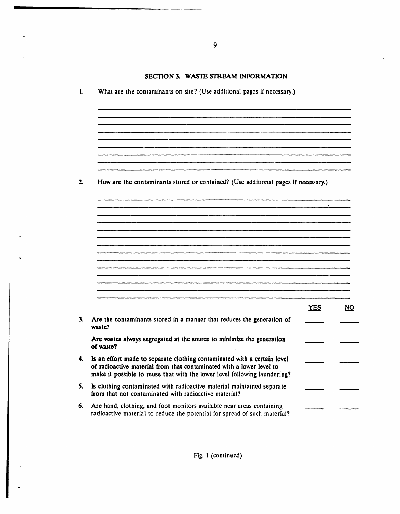1, What are the contaminants on site? (**U**se additional pages if necessary.)

w

2. How are the contaminants stored or contained? (Use additional pages if necessary.)

 $\sim 10^{-10}$ 

|    |                                                                                                                                                                                                                               | <u>YES</u> | NO |
|----|-------------------------------------------------------------------------------------------------------------------------------------------------------------------------------------------------------------------------------|------------|----|
| 3. | Are the contaminants stored in a manner that reduces the generation of<br>waste?                                                                                                                                              |            |    |
|    | Are wastes always segregated at the source to minimize the generation<br>of waste?                                                                                                                                            |            |    |
| 4. | Is an effort made to separate clothing contaminated with a certain level<br>of radioactive material from that contaminated with a lower level to<br>make it possible to reuse that with the lower level following laundering? |            |    |
| 5. | Is clothing contaminated with radioactive material maintained separate<br>from that not contaminated with radioactive material?                                                                                               |            |    |
| 6. | Are hand, clothing, and foot monitors available near areas containing<br>radioactive material to reduce the potential for spread of such material?                                                                            |            |    |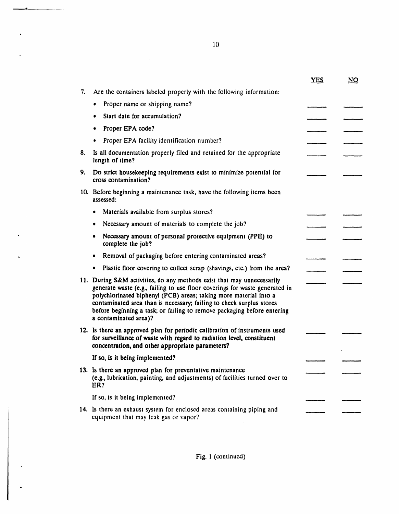|    |                                                                                                                                                                                                                                                                                                                                                                                                        | <u>YES</u> | <u>NO</u> |
|----|--------------------------------------------------------------------------------------------------------------------------------------------------------------------------------------------------------------------------------------------------------------------------------------------------------------------------------------------------------------------------------------------------------|------------|-----------|
| 7. | Are the containers labeled properly with the following information:                                                                                                                                                                                                                                                                                                                                    |            |           |
|    | • Proper name or shipping name?                                                                                                                                                                                                                                                                                                                                                                        |            |           |
|    | Start date for accumulation?                                                                                                                                                                                                                                                                                                                                                                           |            |           |
|    | Proper EPA code?<br>٠                                                                                                                                                                                                                                                                                                                                                                                  |            |           |
|    | Proper EPA facility identification number?<br>٠                                                                                                                                                                                                                                                                                                                                                        |            |           |
| 8. | Is all documentation properly filed and retained for the appropriate<br>length of time?                                                                                                                                                                                                                                                                                                                |            |           |
| 9. | Do strict housekeeping requirements exist to minimize potential for<br>cross contamination?                                                                                                                                                                                                                                                                                                            |            |           |
|    | 10. Before beginning a maintenance task, have the following items been<br>assessed:                                                                                                                                                                                                                                                                                                                    |            |           |
|    | Materials available from surplus stores?<br>٠                                                                                                                                                                                                                                                                                                                                                          |            |           |
|    | Necessary amount of materials to complete the job?<br>۰                                                                                                                                                                                                                                                                                                                                                |            |           |
|    | Necessary amount of personal protective equipment (PPE) to<br>complete the job?                                                                                                                                                                                                                                                                                                                        |            |           |
|    | Removal of packaging before entering contaminated areas?                                                                                                                                                                                                                                                                                                                                               |            |           |
|    | • Plastic floor covering to collect scrap (shavings, etc.) from the area?                                                                                                                                                                                                                                                                                                                              |            |           |
|    | 11. During S&M activities, do any methods exist that may unnecessarily<br>generate waste (e.g., failing to use floor coverings for waste generated in<br>polychlorinated biphenyl (PCB) areas; taking more material into a<br>contaminated area than is necessary; failing to check surplus stores<br>before beginning a task; or failing to remove packaging before entering<br>a contaminated area)? |            |           |
|    | 12. Is there an approved plan for periodic calibration of instruments used<br>for surveillance of waste with regard to radiation level, constituent<br>concentration, and other appropriate parameters?                                                                                                                                                                                                |            |           |
|    | If so, is it being implemented?                                                                                                                                                                                                                                                                                                                                                                        |            |           |
|    | 13. Is there an approved plan for preventative maintenance<br>(e.g., lubrication, painting, and adjustments) of facilities turned over to<br>ER?                                                                                                                                                                                                                                                       |            |           |
|    | If so, is it being implemented?                                                                                                                                                                                                                                                                                                                                                                        |            |           |
|    | 14. Is there an exhaust system for enclosed areas containing piping and<br>equipment that may leak gas or vapor?                                                                                                                                                                                                                                                                                       |            |           |

 $\ddot{\phantom{0}}$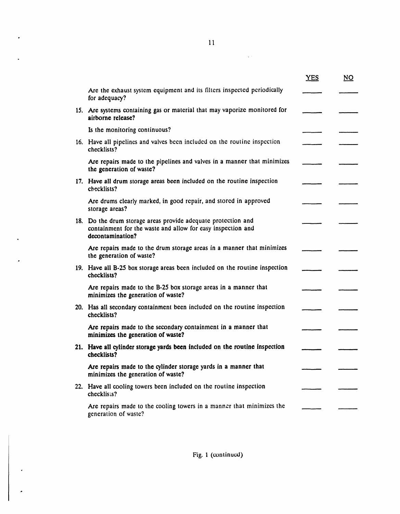|                                                                                                                                                  | <b>YES</b> | $\overline{NQ}$ |
|--------------------------------------------------------------------------------------------------------------------------------------------------|------------|-----------------|
| Are the exhaust system equipment and its filters inspected periodically<br>for adequacy?                                                         |            |                 |
| 15. Are systems containing gas or material that may vaporize monitored for<br>airborne release?                                                  |            |                 |
| Is the monitoring continuous?                                                                                                                    |            |                 |
| 16. Have all pipelines and valves been included on the routine inspection<br>checklists?                                                         |            |                 |
| Are repairs made to the pipelines and valves in a manner that minimizes<br>the generation of waste?                                              |            |                 |
| 17. Have all drum storage areas been included on the routine inspection<br>checklists?                                                           |            |                 |
| Are drums clearly marked, in good repair, and stored in approved<br>storage areas?                                                               |            |                 |
| 18. Do the drum storage areas provide adequate protection and<br>containment for the waste and allow for easy inspection and<br>decontamination? |            |                 |
| Are repairs made to the drum storage areas in a manner that minimizes<br>the generation of waste?                                                |            |                 |
| 19. Have all B-25 box storage areas been included on the routine inspection<br>checklists?                                                       |            |                 |
| Are repairs made to the B-25 box storage areas in a manner that<br>minimizes the generation of waste?                                            |            |                 |
| 20. Has all secondary containment been included on the routine inspection<br>checklists?                                                         |            |                 |
| Are repairs made to the secondary containment in a manner that<br>minimizes the generation of waste?                                             |            |                 |
| 21. Have all cylinder storage yards been included on the routine inspection<br>checklists?                                                       |            |                 |
| Are repairs made to the cylinder storage yards in a manner that<br>minimizes the generation of waste?                                            |            |                 |
| 22. Have all cooling towers been included on the routine inspection<br>checklis <sub>75</sub> ?                                                  |            |                 |
| Are repairs made to the cooling towers in a manner that minimizes the<br>generation of waste?                                                    |            |                 |

Fig. 1 **(**continued)

 $\cdot$ 

×

 $\bullet$ 

 $\hat{\mathbf{r}}$ 

 $\hat{\textbf{z}}$ 

 $\mathcal{L}^{(1)}$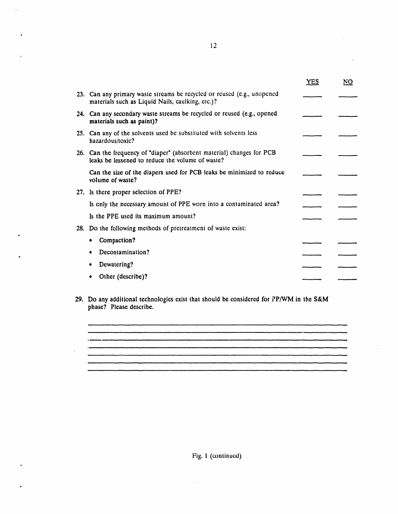|     |                                                                                                                             | YES | NO |
|-----|-----------------------------------------------------------------------------------------------------------------------------|-----|----|
|     | 23. Can any primary waste streams be recycled or reused (e.g., unopened<br>materials such as Liquid Nails, caulking, etc.)? |     |    |
|     | 24. Can any secondary waste streams be recycled or reused (e.g., opened<br>materials such as paint)?                        |     |    |
|     | 25. Can any of the solvents used be substituted with solvents less<br>hazardous/toxic?                                      |     |    |
|     | 26. Can the frequency of "diaper" (absorbent material) changes for PCB<br>leaks be lessened to reduce the volume of waste?  |     |    |
|     | Can the size of the diapers used for PCB leaks be minimized to reduce<br>volume of waste?                                   |     |    |
|     | 27. Is there proper selection of PPE?                                                                                       |     |    |
|     | Is only the necessary amount of PPE worn into a contaminated area?                                                          |     |    |
|     | Is the PPE used its maximum amount?                                                                                         |     |    |
| 28. | Do the following methods of pretreatment of waste exist:                                                                    |     |    |
|     | Compaction?<br>٠                                                                                                            |     |    |
|     | Decontamination?                                                                                                            |     |    |
|     | Dewatering?                                                                                                                 |     |    |
|     | Other (describe)?                                                                                                           |     |    |

**2**9**.** Do an**y a**dd**i**t**i**on**al** technolog**i**es ex**is**t th**a**t sho**u**l**d** be **c**ons**id**ere**d** for **P**P*/*WM **i**n the S**&**M phase**? P**lease describe.

> .<br>W 1940 o 1940 o 1950 o 1960 o 1960 o 1960 o 1960 o 1960 o 1960 o 1960 o 1960 o 1960 o 1960 o 1960 o 1960 o 19

.<br>Thursday the character and compress the character of the character of the character of the character of the ch <u>.</u><br>2001 - Johann Harry Harry Holland, amerikan bernama di kacamatan di Kabupaten Barat di Kabupaten Barat di Kabu

*¢***.**,

 $\bullet$ 

 $\overline{a}$ 

Fig. **1** (conti**n**ued)

 $\hat{\mathcal{A}}$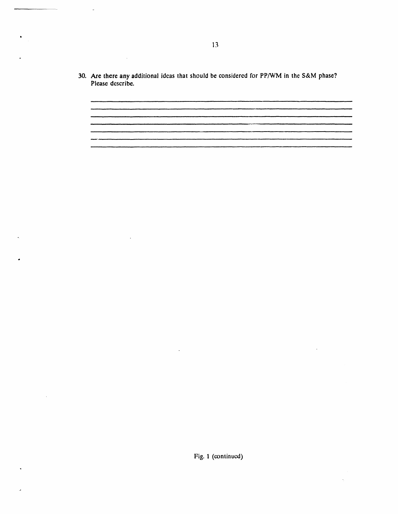30. Are there any additional ideas that should be considered for PP/WM in the S&M phase? **Pl**ease desc**ri**be.

 $\overline{a}$ 

 $\mathcal{A}^{\mathcal{A}}$ 

 $\ddot{\phantom{a}}$ 

 $\hat{\mathbf{r}}$ 

 $\bullet$ 

 $\lambda$ 

 $\cdot$ 

Fig. 1 (cont**i**nued)

 $\ddot{\phantom{a}}$ 

 $\ddot{\phantom{a}}$ 

 $\frac{1}{2}$ 

<u> 1980 - Andrea San Andrea San Andrea San Andrea San Andrea San Andrea San Andrea San Andrea San Andrea San A</u>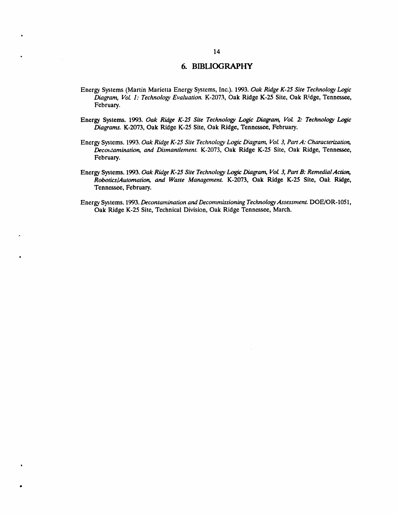#### **6. BIBLIO***G***R***A***PHY**

- Energy Syst**e**ms (Martin M**a**rietta Energy Systems, In**c**.**)**. 1993. *Oak Ridge K*.*25 Site Technolog*y*Logic Diag*r*am*, *VoL 1: Technolog*y *Evaluation*. K-2073, Oak Ridge K-25 Site, Oak R\_dge,Tennessee, February.
- Energy System**s**. 1993. *Oak Ridge K*-*25 Site Technolog*y *Logic Dia*gr*am*, *VoL 2: Technology Logic D/a*gr*ams*. K-2073, Oak R**id**ge K-25 Site, Oak Ridge, Tennessee, February.
- Energy Systems. 1993. *Oak Ridge K*-*2*5 *Site Technolog*y*Logic D***,**\_*agram*,*VoL3,Part A: Characterization, Deco*t, m*mination*, *arwl Dismantlement*. K-2073, Oak Ridge K-25 Site, Oak R**id**ge, *T*enne**ss**ee, February.
- E**n**ergy **S**yste**ms**. 1993. *Oak Ridge K*.*25 Site Technolog*y*Logic Dia*gr*am*, *Vol*. *3*,*Part B: Remedial Action, RoboticsAutomation, and Waste Management*. K-2073, Oak R**id**ge K.25 S**i**te, Oal*,*. Ridge, Tennessee, February.
- Energy **S**ystems. 1993. *Decontamination a*nd *Decommissioning TechnologyAssessment*. DOE*/*OR- 1051, Oak Ri**d**ge K-25 Site, Technical Divis**i**on, Oak Ri**d**ge Tennessee, March.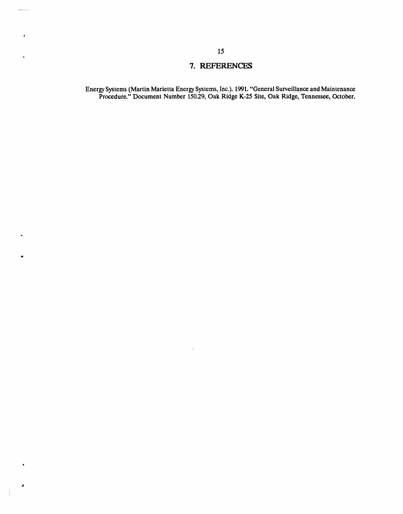## 7. REFERENCES

Energy Systems (Martin Marietta Energy Systems, Inc.). 1991. "General Surveillance and Maintenance<br>Procedure." Document Number 150.29, Oak Ridge K-25 Site, Oak Ridge, Tennessee, October.

 $\alpha$ 

 $\ddot{\phantom{0}}$ 

 $\hat{\mathbf{r}}$ 

 $\bullet$ 

 $\ddot{\phantom{0}}$ 

 $\bullet$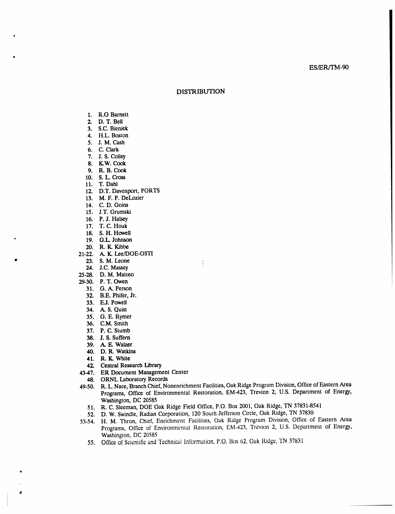#### ES/ER/TM-90

#### **DISTRIBUTION**

- 1. R.O Barnett
- 2. D. T. Bell
- 3. S.C. Bieniek
- 4. H.L. Boston
- 5. J. M. Cash
- 6. C. Clark
- 7. J. S. Colley
- 8. K.W. Cook
- 9. R. B. Cook 10. S. L. Cross
- 
- 11. T. Dahl
- 12. D.T. Davenport, PORTS
- 13. M. F. P. DeLozier
- 14. C. D. Goins
- 15. J.T. Grumski
- 16. P. J. Halsey
- 17. T. C. Houk
- 18. S. H. Howell
- 19. G.L. Johnson
- 20. R. K. Kibbe
- 21-22. A. K. Lee/DOE-OSTI
	- 23. S. M. Leone
	- 24. J.C. Massey
- 25-28. D. M. Matteo
- 29-30. P. T. Owen
	- 31. G. A. Person
	- 32. B.E. Phifer, Jr.
	- 33. E.J. Powell
	- 34. A. S. Quist
	-
	- 35. G. E. Rymer
	- 36. C.M. Smith
	- 37. P. C. Stumb
	- 38. J. S. Suffern
	- 39. A. E. Walzer
	- 40. D. R. Watkins
	- 41. R. K. White
	- 42. Central Research Library
- 43-47. ER Document Management Center
	- 48. ORNL Laboratory Records
- 49-50. R. L. Nace, Branch Chief, Nonenrichment Facilities, Oak Ridge Program Division, Office of Eastern Area Programs, Office of Environmental Restoration, EM-423, Trevion 2, U.S. Department of Energy, Washington, DC 20585
	- 51. R. C. Sleeman, DOE Oak Ridge Field Office, P.O. Box 2001, Oak Ridge, TN 37831-8541
	- 52. D. W. Swindle, Radian Corporation, 120 South Jefferson Circle, Oak Ridge, TN 37830
- 53-54. H. M. Thron, Chief, Enrichment Facilities, Oak Ridge Program Division, Office of Eastern Area Programs, Office of Environmental Restoration, EM-423, Trevion 2, U.S. Department of Energy, Washington, DC 20585
	- 55. Office of Scientific and Technical Information, P.O. Box 62, Oak Ridge, TN 37831